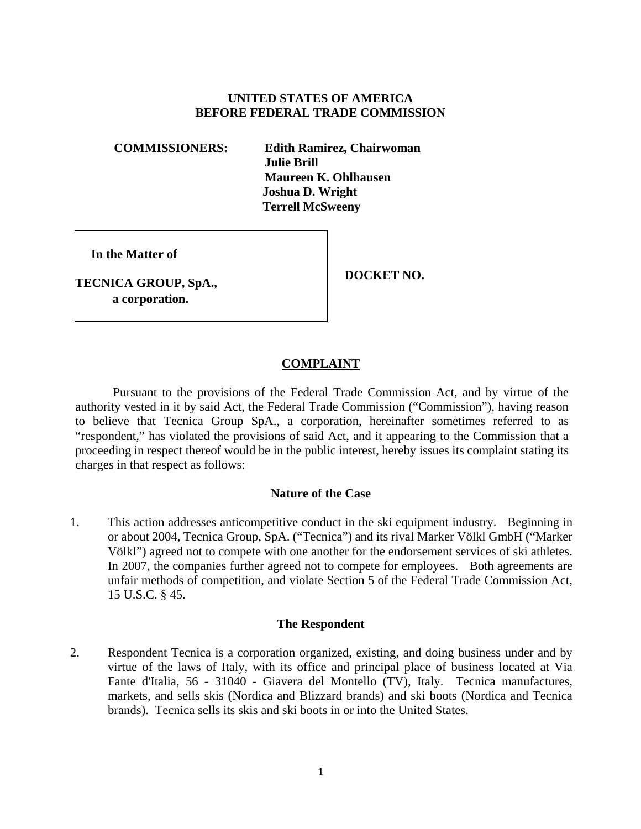# **UNITED STATES OF AMERICA BEFORE FEDERAL TRADE COMMISSION**

**COMMISSIONERS: Edith Ramirez, Chairwoman Julie Brill Maureen K. Ohlhausen Joshua D. Wright Terrell McSweeny**

**In the Matter of**

**TECNICA GROUP, SpA., a corporation.**

**DOCKET NO.**

# **COMPLAINT**

Pursuant to the provisions of the Federal Trade Commission Act, and by virtue of the authority vested in it by said Act, the Federal Trade Commission ("Commission"), having reason to believe that Tecnica Group SpA., a corporation, hereinafter sometimes referred to as "respondent," has violated the provisions of said Act, and it appearing to the Commission that a proceeding in respect thereof would be in the public interest, hereby issues its complaint stating its charges in that respect as follows:

### **Nature of the Case**

1. This action addresses anticompetitive conduct in the ski equipment industry. Beginning in or about 2004, Tecnica Group, SpA. ("Tecnica") and its rival Marker Völkl GmbH ("Marker Völkl") agreed not to compete with one another for the endorsement services of ski athletes. In 2007, the companies further agreed not to compete for employees. Both agreements are unfair methods of competition, and violate Section 5 of the Federal Trade Commission Act, 15 U.S.C. § 45.

### **The Respondent**

2. Respondent Tecnica is a corporation organized, existing, and doing business under and by virtue of the laws of Italy, with its office and principal place of business located at Via Fante d'Italia, 56 - 31040 - Giavera del Montello (TV), Italy. Tecnica manufactures, markets, and sells skis (Nordica and Blizzard brands) and ski boots (Nordica and Tecnica brands). Tecnica sells its skis and ski boots in or into the United States.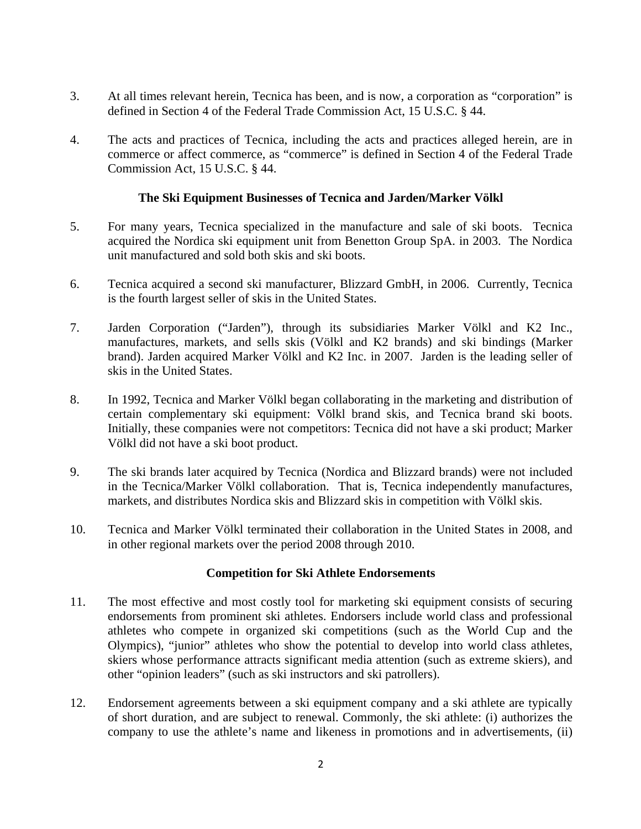- 3. At all times relevant herein, Tecnica has been, and is now, a corporation as "corporation" is defined in Section 4 of the Federal Trade Commission Act, 15 U.S.C. § 44.
- 4. The acts and practices of Tecnica, including the acts and practices alleged herein, are in commerce or affect commerce, as "commerce" is defined in Section 4 of the Federal Trade Commission Act, 15 U.S.C. § 44.

## **The Ski Equipment Businesses of Tecnica and Jarden/Marker Völkl**

- 5. For many years, Tecnica specialized in the manufacture and sale of ski boots. Tecnica acquired the Nordica ski equipment unit from Benetton Group SpA. in 2003. The Nordica unit manufactured and sold both skis and ski boots.
- 6. Tecnica acquired a second ski manufacturer, Blizzard GmbH, in 2006. Currently, Tecnica is the fourth largest seller of skis in the United States.
- 7. Jarden Corporation ("Jarden"), through its subsidiaries Marker Völkl and K2 Inc., manufactures, markets, and sells skis (Völkl and K2 brands) and ski bindings (Marker brand). Jarden acquired Marker Völkl and K2 Inc. in 2007. Jarden is the leading seller of skis in the United States.
- 8. In 1992, Tecnica and Marker Völkl began collaborating in the marketing and distribution of certain complementary ski equipment: Völkl brand skis, and Tecnica brand ski boots. Initially, these companies were not competitors: Tecnica did not have a ski product; Marker Völkl did not have a ski boot product.
- 9. The ski brands later acquired by Tecnica (Nordica and Blizzard brands) were not included in the Tecnica/Marker Völkl collaboration. That is, Tecnica independently manufactures, markets, and distributes Nordica skis and Blizzard skis in competition with Völkl skis.
- 10. Tecnica and Marker Völkl terminated their collaboration in the United States in 2008, and in other regional markets over the period 2008 through 2010.

## **Competition for Ski Athlete Endorsements**

- 11. The most effective and most costly tool for marketing ski equipment consists of securing endorsements from prominent ski athletes. Endorsers include world class and professional athletes who compete in organized ski competitions (such as the World Cup and the Olympics), "junior" athletes who show the potential to develop into world class athletes, skiers whose performance attracts significant media attention (such as extreme skiers), and other "opinion leaders" (such as ski instructors and ski patrollers).
- 12. Endorsement agreements between a ski equipment company and a ski athlete are typically of short duration, and are subject to renewal. Commonly, the ski athlete: (i) authorizes the company to use the athlete's name and likeness in promotions and in advertisements, (ii)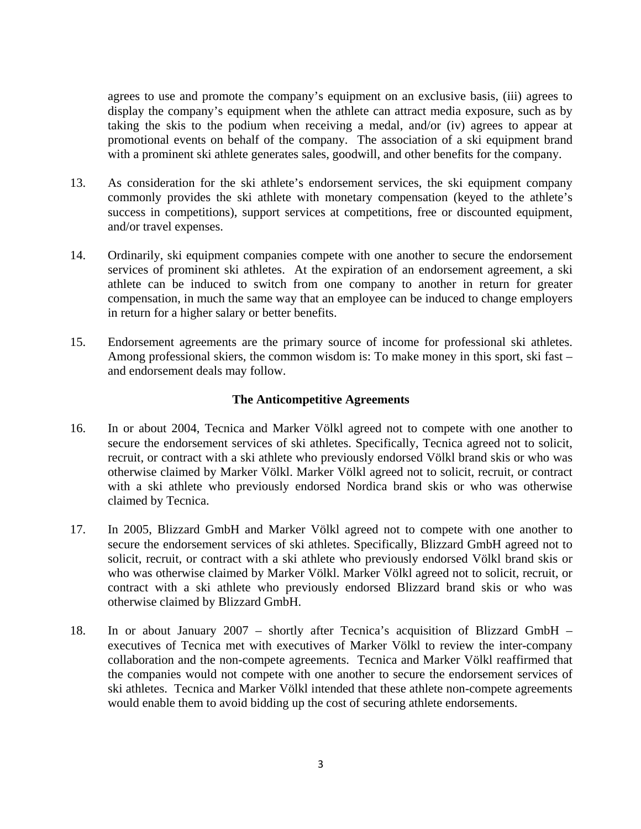agrees to use and promote the company's equipment on an exclusive basis, (iii) agrees to display the company's equipment when the athlete can attract media exposure, such as by taking the skis to the podium when receiving a medal, and/or (iv) agrees to appear at promotional events on behalf of the company. The association of a ski equipment brand with a prominent ski athlete generates sales, goodwill, and other benefits for the company.

- 13. As consideration for the ski athlete's endorsement services, the ski equipment company commonly provides the ski athlete with monetary compensation (keyed to the athlete's success in competitions), support services at competitions, free or discounted equipment, and/or travel expenses.
- 14. Ordinarily, ski equipment companies compete with one another to secure the endorsement services of prominent ski athletes. At the expiration of an endorsement agreement, a ski athlete can be induced to switch from one company to another in return for greater compensation, in much the same way that an employee can be induced to change employers in return for a higher salary or better benefits.
- 15. Endorsement agreements are the primary source of income for professional ski athletes. Among professional skiers, the common wisdom is: To make money in this sport, ski fast – and endorsement deals may follow.

## **The Anticompetitive Agreements**

- 16. In or about 2004, Tecnica and Marker Völkl agreed not to compete with one another to secure the endorsement services of ski athletes. Specifically, Tecnica agreed not to solicit, recruit, or contract with a ski athlete who previously endorsed Völkl brand skis or who was otherwise claimed by Marker Völkl. Marker Völkl agreed not to solicit, recruit, or contract with a ski athlete who previously endorsed Nordica brand skis or who was otherwise claimed by Tecnica.
- 17. In 2005, Blizzard GmbH and Marker Völkl agreed not to compete with one another to secure the endorsement services of ski athletes. Specifically, Blizzard GmbH agreed not to solicit, recruit, or contract with a ski athlete who previously endorsed Völkl brand skis or who was otherwise claimed by Marker Völkl. Marker Völkl agreed not to solicit, recruit, or contract with a ski athlete who previously endorsed Blizzard brand skis or who was otherwise claimed by Blizzard GmbH.
- 18. In or about January 2007 shortly after Tecnica's acquisition of Blizzard GmbH executives of Tecnica met with executives of Marker Völkl to review the inter-company collaboration and the non-compete agreements. Tecnica and Marker Völkl reaffirmed that the companies would not compete with one another to secure the endorsement services of ski athletes. Tecnica and Marker Völkl intended that these athlete non-compete agreements would enable them to avoid bidding up the cost of securing athlete endorsements.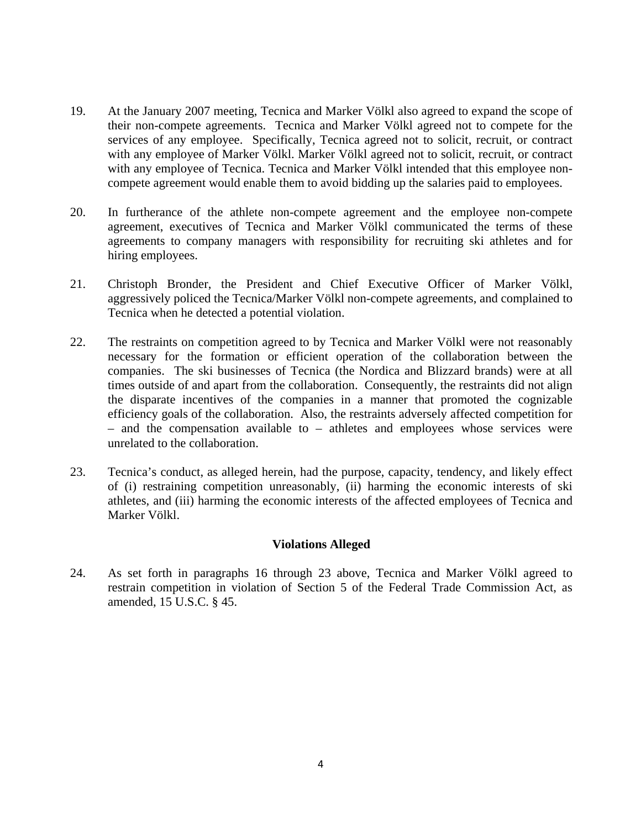- 19. At the January 2007 meeting, Tecnica and Marker Völkl also agreed to expand the scope of their non-compete agreements. Tecnica and Marker Völkl agreed not to compete for the services of any employee. Specifically, Tecnica agreed not to solicit, recruit, or contract with any employee of Marker Völkl. Marker Völkl agreed not to solicit, recruit, or contract with any employee of Tecnica. Tecnica and Marker Völkl intended that this employee noncompete agreement would enable them to avoid bidding up the salaries paid to employees.
- 20. In furtherance of the athlete non-compete agreement and the employee non-compete agreement, executives of Tecnica and Marker Völkl communicated the terms of these agreements to company managers with responsibility for recruiting ski athletes and for hiring employees.
- 21. Christoph Bronder, the President and Chief Executive Officer of Marker Völkl, aggressively policed the Tecnica/Marker Völkl non-compete agreements, and complained to Tecnica when he detected a potential violation.
- 22. The restraints on competition agreed to by Tecnica and Marker Völkl were not reasonably necessary for the formation or efficient operation of the collaboration between the companies. The ski businesses of Tecnica (the Nordica and Blizzard brands) were at all times outside of and apart from the collaboration. Consequently, the restraints did not align the disparate incentives of the companies in a manner that promoted the cognizable efficiency goals of the collaboration. Also, the restraints adversely affected competition for – and the compensation available to – athletes and employees whose services were unrelated to the collaboration.
- 23. Tecnica's conduct, as alleged herein, had the purpose, capacity, tendency, and likely effect of (i) restraining competition unreasonably, (ii) harming the economic interests of ski athletes, and (iii) harming the economic interests of the affected employees of Tecnica and Marker Völkl.

## **Violations Alleged**

24. As set forth in paragraphs 16 through 23 above, Tecnica and Marker Völkl agreed to restrain competition in violation of Section 5 of the Federal Trade Commission Act, as amended, 15 U.S.C. § 45.